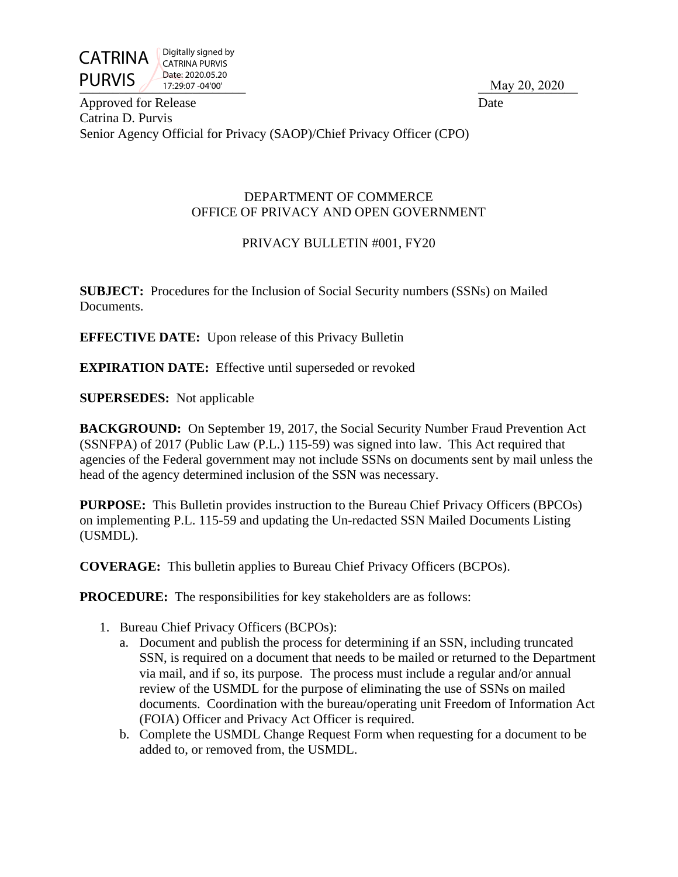

Digitally signed by CATRINA PURVIS Date: 2020.05.20 17:29:07 -04'00'

PURVIS  $\frac{17.29.07 - 04'00''}{}$ 

Approved for Release Date Catrina D. Purvis Senior Agency Official for Privacy (SAOP)/Chief Privacy Officer (CPO)

#### DEPARTMENT OF COMMERCE OFFICE OF PRIVACY AND OPEN GOVERNMENT

# PRIVACY BULLETIN #001, FY20

**SUBJECT:** Procedures for the Inclusion of Social Security numbers (SSNs) on Mailed Documents.

**EFFECTIVE DATE:** Upon release of this Privacy Bulletin

**EXPIRATION DATE:** Effective until superseded or revoked

**SUPERSEDES:** Not applicable

**BACKGROUND:** On September 19, 2017, the Social Security Number Fraud Prevention Act (SSNFPA) of 2017 (Public Law (P.L.) 115-59) was signed into law. This Act required that agencies of the Federal government may not include SSNs on documents sent by mail unless the head of the agency determined inclusion of the SSN was necessary.

**PURPOSE:** This Bulletin provides instruction to the Bureau Chief Privacy Officers (BPCOs) on implementing P.L. 115-59 and updating the Un-redacted SSN Mailed Documents Listing (USMDL).

**COVERAGE:** This bulletin applies to Bureau Chief Privacy Officers (BCPOs).

**PROCEDURE:** The responsibilities for key stakeholders are as follows:

- 1. Bureau Chief Privacy Officers (BCPOs):
	- a. Document and publish the process for determining if an SSN, including truncated SSN, is required on a document that needs to be mailed or returned to the Department via mail, and if so, its purpose. The process must include a regular and/or annual review of the USMDL for the purpose of eliminating the use of SSNs on mailed documents. Coordination with the bureau/operating unit Freedom of Information Act (FOIA) Officer and Privacy Act Officer is required.
	- b. Complete the USMDL Change Request Form when requesting for a document to be added to, or removed from, the USMDL.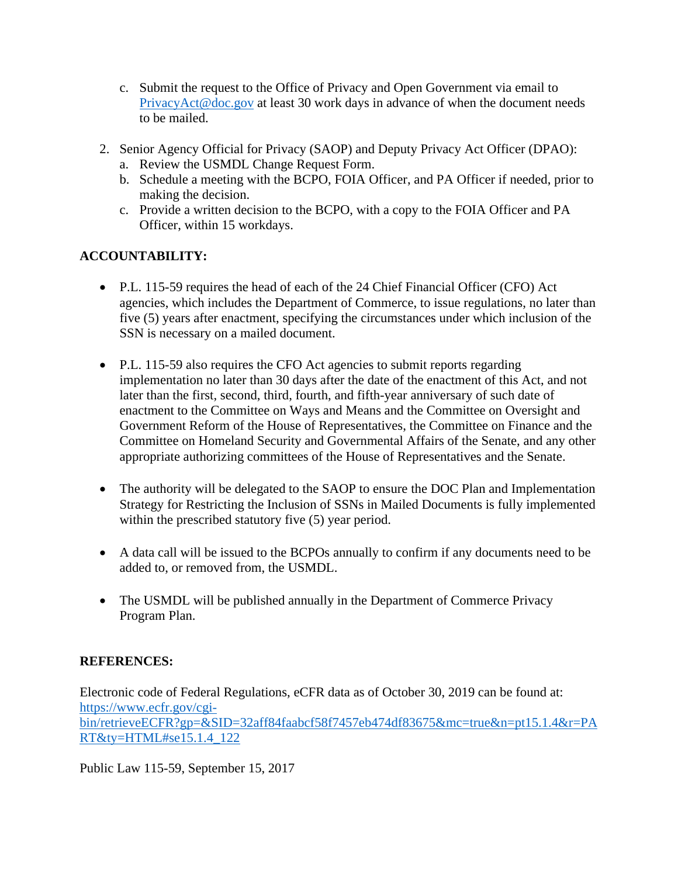- c. Submit the request to the Office of Privacy and Open Government via email to [PrivacyAct@doc.gov](mailto:PrivacyAct@doc.gov) at least 30 work days in advance of when the document needs to be mailed.
- 2. Senior Agency Official for Privacy (SAOP) and Deputy Privacy Act Officer (DPAO):
	- a. Review the USMDL Change Request Form.
	- b. Schedule a meeting with the BCPO, FOIA Officer, and PA Officer if needed, prior to making the decision.
	- c. Provide a written decision to the BCPO, with a copy to the FOIA Officer and PA Officer, within 15 workdays.

# **ACCOUNTABILITY:**

- P.L. 115-59 requires the head of each of the 24 Chief Financial Officer (CFO) Act agencies, which includes the Department of Commerce, to issue regulations, no later than five (5) years after enactment, specifying the circumstances under which inclusion of the SSN is necessary on a mailed document.
- P.L. 115-59 also requires the CFO Act agencies to submit reports regarding implementation no later than 30 days after the date of the enactment of this Act, and not later than the first, second, third, fourth, and fifth-year anniversary of such date of enactment to the Committee on Ways and Means and the Committee on Oversight and Government Reform of the House of Representatives, the Committee on Finance and the Committee on Homeland Security and Governmental Affairs of the Senate, and any other appropriate authorizing committees of the House of Representatives and the Senate.
- The authority will be delegated to the SAOP to ensure the DOC Plan and Implementation Strategy for Restricting the Inclusion of SSNs in Mailed Documents is fully implemented within the prescribed statutory five  $(5)$  year period.
- A data call will be issued to the BCPOs annually to confirm if any documents need to be added to, or removed from, the USMDL.
- The USMDL will be published annually in the Department of Commerce Privacy Program Plan.

### **REFERENCES:**

Electronic code of Federal Regulations, eCFR data as of October 30, 2019 can be found at: [https://www.ecfr.gov/cgi](https://www.ecfr.gov/cgi-bin/retrieveECFR?gp=&SID=32aff84faabcf58f7457eb474df83675&mc=true&n=pt15.1.4&r=PART&ty=HTML#se15.1.4_122)[bin/retrieveECFR?gp=&SID=32aff84faabcf58f7457eb474df83675&mc=true&n=pt15.1.4&r=PA](https://www.ecfr.gov/cgi-bin/retrieveECFR?gp=&SID=32aff84faabcf58f7457eb474df83675&mc=true&n=pt15.1.4&r=PART&ty=HTML#se15.1.4_122) [RT&ty=HTML#se15.1.4\\_122](https://www.ecfr.gov/cgi-bin/retrieveECFR?gp=&SID=32aff84faabcf58f7457eb474df83675&mc=true&n=pt15.1.4&r=PART&ty=HTML#se15.1.4_122)

Public Law 115-59, September 15, 2017